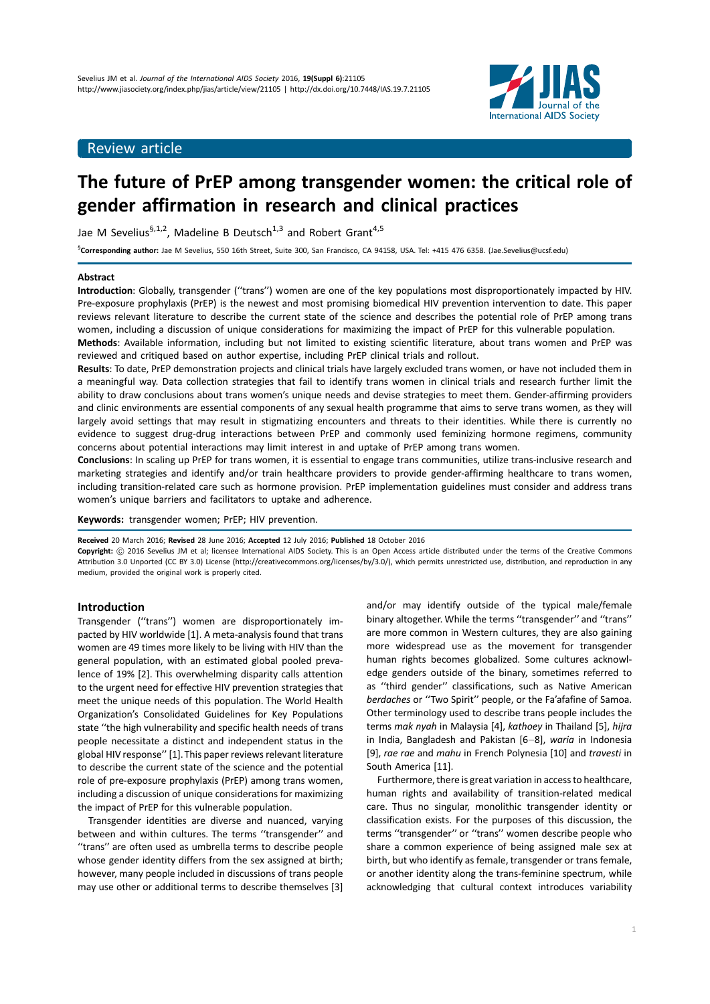# [Review article](http://www.jiasociety.org/index.php/jias/article/view/21105)



# The future of PrEP among transgender women: the critical role of gender affirmation in research and clinical practices

Jae M Sevelius<sup>§,1,2</sup>, Madeline B Deutsch<sup>1,3</sup> and Robert Grant<sup>4,5</sup>

<sup>§</sup>Corresponding author: Jae M Sevelius, 550 16th Street, Suite 300, San Francisco, CA 94158, USA. Tel: +415 476 6358. (Jae.Sevelius@ucsf.edu)

#### Abstract

Introduction: Globally, transgender (''trans'') women are one of the key populations most disproportionately impacted by HIV. Pre-exposure prophylaxis (PrEP) is the newest and most promising biomedical HIV prevention intervention to date. This paper reviews relevant literature to describe the current state of the science and describes the potential role of PrEP among trans women, including a discussion of unique considerations for maximizing the impact of PrEP for this vulnerable population.

Methods: Available information, including but not limited to existing scientific literature, about trans women and PrEP was reviewed and critiqued based on author expertise, including PrEP clinical trials and rollout.

Results: To date, PrEP demonstration projects and clinical trials have largely excluded trans women, or have not included them in a meaningful way. Data collection strategies that fail to identify trans women in clinical trials and research further limit the ability to draw conclusions about trans women's unique needs and devise strategies to meet them. Gender-affirming providers and clinic environments are essential components of any sexual health programme that aims to serve trans women, as they will largely avoid settings that may result in stigmatizing encounters and threats to their identities. While there is currently no evidence to suggest drug-drug interactions between PrEP and commonly used feminizing hormone regimens, community concerns about potential interactions may limit interest in and uptake of PrEP among trans women.

Conclusions: In scaling up PrEP for trans women, it is essential to engage trans communities, utilize trans-inclusive research and marketing strategies and identify and/or train healthcare providers to provide gender-affirming healthcare to trans women, including transition-related care such as hormone provision. PrEP implementation guidelines must consider and address trans women's unique barriers and facilitators to uptake and adherence.

Keywords: transgender women; PrEP; HIV prevention.

Received 20 March 2016; Revised 28 June 2016; Accepted 12 July 2016; Published 18 October 2016

Copyright: C 2016 Sevelius JM et al; licensee International AIDS Society. This is an Open Access article distributed under the terms of the Creative Commons Attribution 3.0 Unported (CC BY 3.0) License (http://creativecommons.org/licenses/by/3.0/), which permits unrestricted use, distribution, and reproduction in any medium, provided the original work is properly cited.

### Introduction

Transgender (''trans'') women are disproportionately impacted by HIV worldwide [1]. A meta-analysis found that trans women are 49 times more likely to be living with HIV than the general population, with an estimated global pooled prevalence of 19% [2]. This overwhelming disparity calls attention to the urgent need for effective HIV prevention strategies that meet the unique needs of this population. The World Health Organization's Consolidated Guidelines for Key Populations state ''the high vulnerability and specific health needs of trans people necessitate a distinct and independent status in the global HIV response'' [1].This paper reviews relevant literature to describe the current state of the science and the potential role of pre-exposure prophylaxis (PrEP) among trans women, including a discussion of unique considerations for maximizing the impact of PrEP for this vulnerable population.

Transgender identities are diverse and nuanced, varying between and within cultures. The terms ''transgender'' and ''trans'' are often used as umbrella terms to describe people whose gender identity differs from the sex assigned at birth; however, many people included in discussions of trans people may use other or additional terms to describe themselves [3]

and/or may identify outside of the typical male/female binary altogether. While the terms ''transgender'' and ''trans'' are more common in Western cultures, they are also gaining more widespread use as the movement for transgender human rights becomes globalized. Some cultures acknowledge genders outside of the binary, sometimes referred to as ''third gender'' classifications, such as Native American berdaches or ''Two Spirit'' people, or the Fa'afafine of Samoa. Other terminology used to describe trans people includes the terms mak nyah in Malaysia [4], kathoey in Thailand [5], hijra in India, Bangladesh and Pakistan [6–8], waria in Indonesia [9], rae rae and mahu in French Polynesia [10] and travesti in South America [11].

Furthermore, there is great variation in access to healthcare, human rights and availability of transition-related medical care. Thus no singular, monolithic transgender identity or classification exists. For the purposes of this discussion, the terms ''transgender'' or ''trans'' women describe people who share a common experience of being assigned male sex at birth, but who identify as female, transgender or trans female, or another identity along the trans-feminine spectrum, while acknowledging that cultural context introduces variability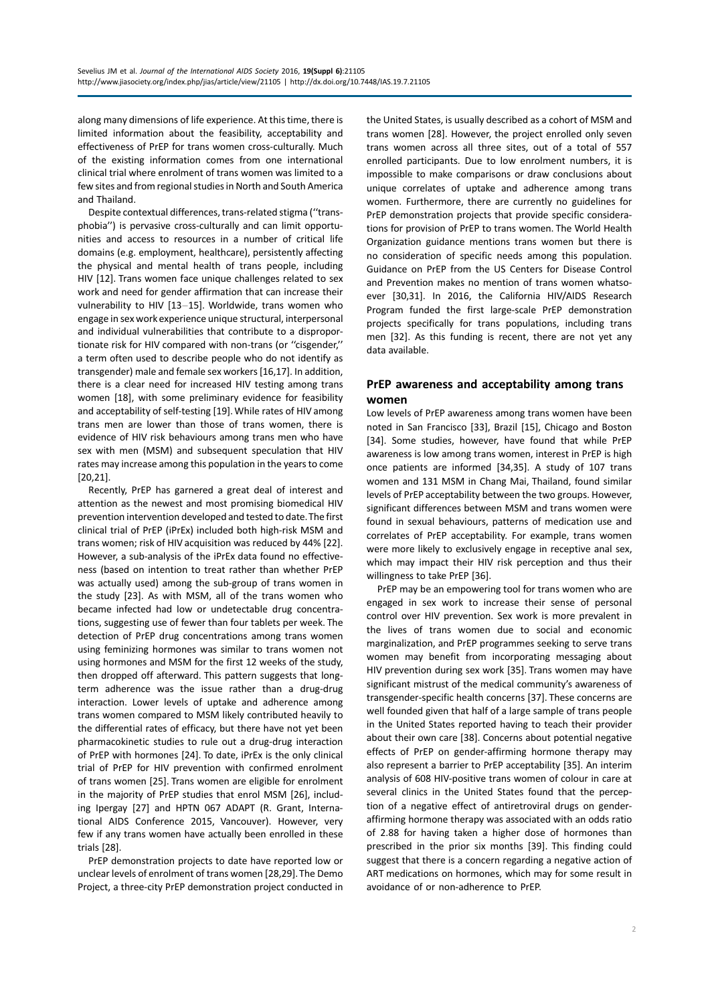along many dimensions of life experience. At this time, there is limited information about the feasibility, acceptability and [effectiveness](http://www.jiasociety.org/index.php/jias/article/view/21105) [of](http://www.jiasociety.org/index.php/jias/article/view/21105) [PrEP](http://www.jiasociety.org/index.php/jias/article/view/21105) [for](http://www.jiasociety.org/index.php/jias/article/view/21105) [trans](http://www.jiasociety.org/index.php/jias/article/view/21105) [women](http://www.jiasociety.org/index.php/jias/article/view/21105) [cross-cu](http://www.jiasociety.org/index.php/jias/article/view/21105)lturally. Much of the existing information comes from one international clinical trial where enrolment of trans women was limited to a few sites and from regional studies in North and South America and Thailand.

Despite contextual differences, trans-related stigma (''transphobia'') is pervasive cross-culturally and can limit opportunities and access to resources in a number of critical life domains (e.g. employment, healthcare), persistently affecting the physical and mental health of trans people, including HIV [12]. Trans women face unique challenges related to sex work and need for gender affirmation that can increase their vulnerability to HIV [13-15]. Worldwide, trans women who engage in sex work experience unique structural, interpersonal and individual vulnerabilities that contribute to a disproportionate risk for HIV compared with non-trans (or ''cisgender,'' a term often used to describe people who do not identify as transgender) male and female sex workers [16,17]. In addition, there is a clear need for increased HIV testing among trans women [18], with some preliminary evidence for feasibility and acceptability of self-testing [19].While rates of HIV among trans men are lower than those of trans women, there is evidence of HIV risk behaviours among trans men who have sex with men (MSM) and subsequent speculation that HIV rates may increase among this population in the years to come [20,21].

Recently, PrEP has garnered a great deal of interest and attention as the newest and most promising biomedical HIV prevention intervention developed and tested to date.The first clinical trial of PrEP (iPrEx) included both high-risk MSM and trans women; risk of HIV acquisition was reduced by 44% [22]. However, a sub-analysis of the iPrEx data found no effectiveness (based on intention to treat rather than whether PrEP was actually used) among the sub-group of trans women in the study [23]. As with MSM, all of the trans women who became infected had low or undetectable drug concentrations, suggesting use of fewer than four tablets per week. The detection of PrEP drug concentrations among trans women using feminizing hormones was similar to trans women not using hormones and MSM for the first 12 weeks of the study, then dropped off afterward. This pattern suggests that longterm adherence was the issue rather than a drug-drug interaction. Lower levels of uptake and adherence among trans women compared to MSM likely contributed heavily to the differential rates of efficacy, but there have not yet been pharmacokinetic studies to rule out a drug-drug interaction of PrEP with hormones [24]. To date, iPrEx is the only clinical trial of PrEP for HIV prevention with confirmed enrolment of trans women [25]. Trans women are eligible for enrolment in the majority of PrEP studies that enrol MSM [26], including Ipergay [27] and HPTN 067 ADAPT (R. Grant, International AIDS Conference 2015, Vancouver). However, very few if any trans women have actually been enrolled in these trials [28].

PrEP demonstration projects to date have reported low or unclear levels of enrolment of trans women [28,29].The Demo Project, a three-city PrEP demonstration project conducted in

the United States, is usually described as a cohort of MSM and trans women [28]. However, the project enrolled only seven [trans](http://dx.doi.org/10.7448/IAS.19.7.21105) [women](http://dx.doi.org/10.7448/IAS.19.7.21105) across all three sites, out of a total of 557 enrolled participants. Due to low enrolment numbers, it is impossible to make comparisons or draw conclusions about unique correlates of uptake and adherence among trans women. Furthermore, there are currently no guidelines for PrEP demonstration projects that provide specific considerations for provision of PrEP to trans women. The World Health Organization guidance mentions trans women but there is no consideration of specific needs among this population. Guidance on PrEP from the US Centers for Disease Control and Prevention makes no mention of trans women whatsoever [30,31]. In 2016, the California HIV/AIDS Research Program funded the first large-scale PrEP demonstration projects specifically for trans populations, including trans men [32]. As this funding is recent, there are not yet any data available.

# PrEP awareness and acceptability among trans women

Low levels of PrEP awareness among trans women have been noted in San Francisco [33], Brazil [15], Chicago and Boston [34]. Some studies, however, have found that while PrEP awareness is low among trans women, interest in PrEP is high once patients are informed [34,35]. A study of 107 trans women and 131 MSM in Chang Mai, Thailand, found similar levels of PrEP acceptability between the two groups. However, significant differences between MSM and trans women were found in sexual behaviours, patterns of medication use and correlates of PrEP acceptability. For example, trans women were more likely to exclusively engage in receptive anal sex, which may impact their HIV risk perception and thus their willingness to take PrEP [36].

PrEP may be an empowering tool for trans women who are engaged in sex work to increase their sense of personal control over HIV prevention. Sex work is more prevalent in the lives of trans women due to social and economic marginalization, and PrEP programmes seeking to serve trans women may benefit from incorporating messaging about HIV prevention during sex work [35]. Trans women may have significant mistrust of the medical community's awareness of transgender-specific health concerns [37]. These concerns are well founded given that half of a large sample of trans people in the United States reported having to teach their provider about their own care [38]. Concerns about potential negative effects of PrEP on gender-affirming hormone therapy may also represent a barrier to PrEP acceptability [35]. An interim analysis of 608 HIV-positive trans women of colour in care at several clinics in the United States found that the perception of a negative effect of antiretroviral drugs on genderaffirming hormone therapy was associated with an odds ratio of 2.88 for having taken a higher dose of hormones than prescribed in the prior six months [39]. This finding could suggest that there is a concern regarding a negative action of ART medications on hormones, which may for some result in avoidance of or non-adherence to PrEP.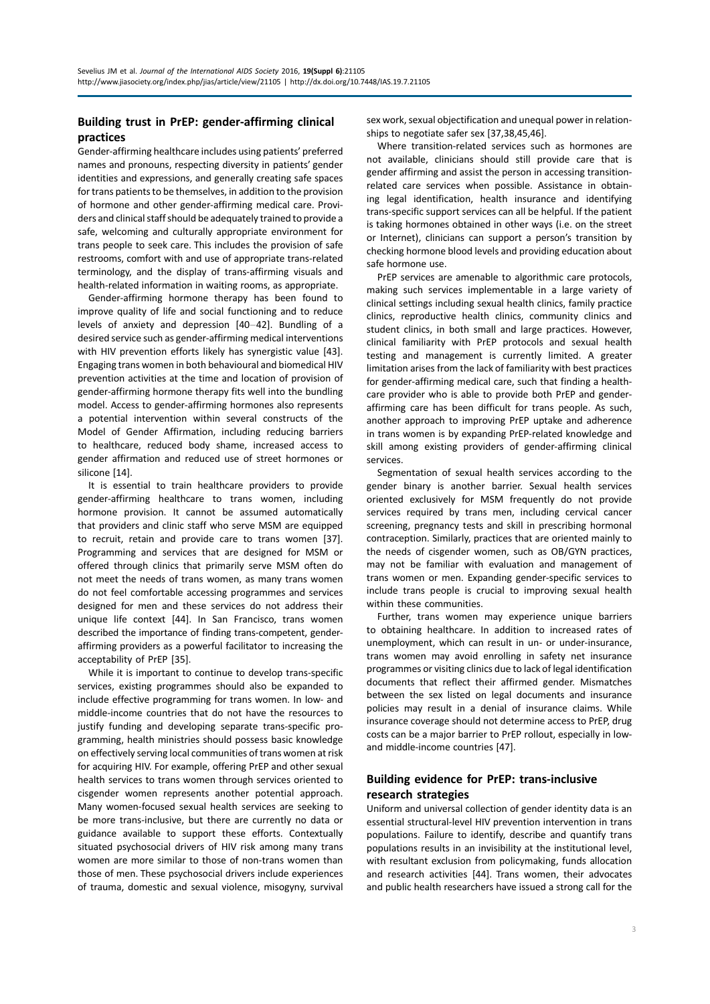# Building trust in PrEP: gender-affirming clinical [practices](http://www.jiasociety.org/index.php/jias/article/view/21105)

Gender-affirming healthcare includes using patients' preferred names and pronouns, respecting diversity in patients' gender identities and expressions, and generally creating safe spaces for trans patients to be themselves, in addition to the provision of hormone and other gender-affirming medical care. Providers and clinical staff should be adequately trained to provide a safe, welcoming and culturally appropriate environment for trans people to seek care. This includes the provision of safe restrooms, comfort with and use of appropriate trans-related terminology, and the display of trans-affirming visuals and health-related information in waiting rooms, as appropriate.

Gender-affirming hormone therapy has been found to improve quality of life and social functioning and to reduce levels of anxiety and depression [40-42]. Bundling of a desired service such as gender-affirming medical interventions with HIV prevention efforts likely has synergistic value [43]. Engaging trans women in both behavioural and biomedical HIV prevention activities at the time and location of provision of gender-affirming hormone therapy fits well into the bundling model. Access to gender-affirming hormones also represents a potential intervention within several constructs of the Model of Gender Affirmation, including reducing barriers to healthcare, reduced body shame, increased access to gender affirmation and reduced use of street hormones or silicone [14].

It is essential to train healthcare providers to provide gender-affirming healthcare to trans women, including hormone provision. It cannot be assumed automatically that providers and clinic staff who serve MSM are equipped to recruit, retain and provide care to trans women [37]. Programming and services that are designed for MSM or offered through clinics that primarily serve MSM often do not meet the needs of trans women, as many trans women do not feel comfortable accessing programmes and services designed for men and these services do not address their unique life context [44]. In San Francisco, trans women described the importance of finding trans-competent, genderaffirming providers as a powerful facilitator to increasing the acceptability of PrEP [35].

While it is important to continue to develop trans-specific services, existing programmes should also be expanded to include effective programming for trans women. In low- and middle-income countries that do not have the resources to justify funding and developing separate trans-specific programming, health ministries should possess basic knowledge on effectively serving local communities of trans women at risk for acquiring HIV. For example, offering PrEP and other sexual health services to trans women through services oriented to cisgender women represents another potential approach. Many women-focused sexual health services are seeking to be more trans-inclusive, but there are currently no data or guidance available to support these efforts. Contextually situated psychosocial drivers of HIV risk among many trans women are more similar to those of non-trans women than those of men. These psychosocial drivers include experiences of trauma, domestic and sexual violence, misogyny, survival

sex work, sexual objectification and unequal power in relationships to negotiate safer sex [37,38,45,46].

[Where](http://dx.doi.org/10.7448/IAS.19.7.21105) [trans](http://dx.doi.org/10.7448/IAS.19.7.21105)ition-related services such as hormones are not available, clinicians should still provide care that is gender affirming and assist the person in accessing transitionrelated care services when possible. Assistance in obtaining legal identification, health insurance and identifying trans-specific support services can all be helpful. If the patient is taking hormones obtained in other ways (i.e. on the street or Internet), clinicians can support a person's transition by checking hormone blood levels and providing education about safe hormone use.

PrEP services are amenable to algorithmic care protocols, making such services implementable in a large variety of clinical settings including sexual health clinics, family practice clinics, reproductive health clinics, community clinics and student clinics, in both small and large practices. However, clinical familiarity with PrEP protocols and sexual health testing and management is currently limited. A greater limitation arises from the lack of familiarity with best practices for gender-affirming medical care, such that finding a healthcare provider who is able to provide both PrEP and genderaffirming care has been difficult for trans people. As such, another approach to improving PrEP uptake and adherence in trans women is by expanding PrEP-related knowledge and skill among existing providers of gender-affirming clinical services.

Segmentation of sexual health services according to the gender binary is another barrier. Sexual health services oriented exclusively for MSM frequently do not provide services required by trans men, including cervical cancer screening, pregnancy tests and skill in prescribing hormonal contraception. Similarly, practices that are oriented mainly to the needs of cisgender women, such as OB/GYN practices, may not be familiar with evaluation and management of trans women or men. Expanding gender-specific services to include trans people is crucial to improving sexual health within these communities.

Further, trans women may experience unique barriers to obtaining healthcare. In addition to increased rates of unemployment, which can result in un- or under-insurance, trans women may avoid enrolling in safety net insurance programmes or visiting clinics due to lack of legal identification documents that reflect their affirmed gender. Mismatches between the sex listed on legal documents and insurance policies may result in a denial of insurance claims. While insurance coverage should not determine access to PrEP, drug costs can be a major barrier to PrEP rollout, especially in lowand middle-income countries [47].

# Building evidence for PrEP: trans-inclusive research strategies

Uniform and universal collection of gender identity data is an essential structural-level HIV prevention intervention in trans populations. Failure to identify, describe and quantify trans populations results in an invisibility at the institutional level, with resultant exclusion from policymaking, funds allocation and research activities [44]. Trans women, their advocates and public health researchers have issued a strong call for the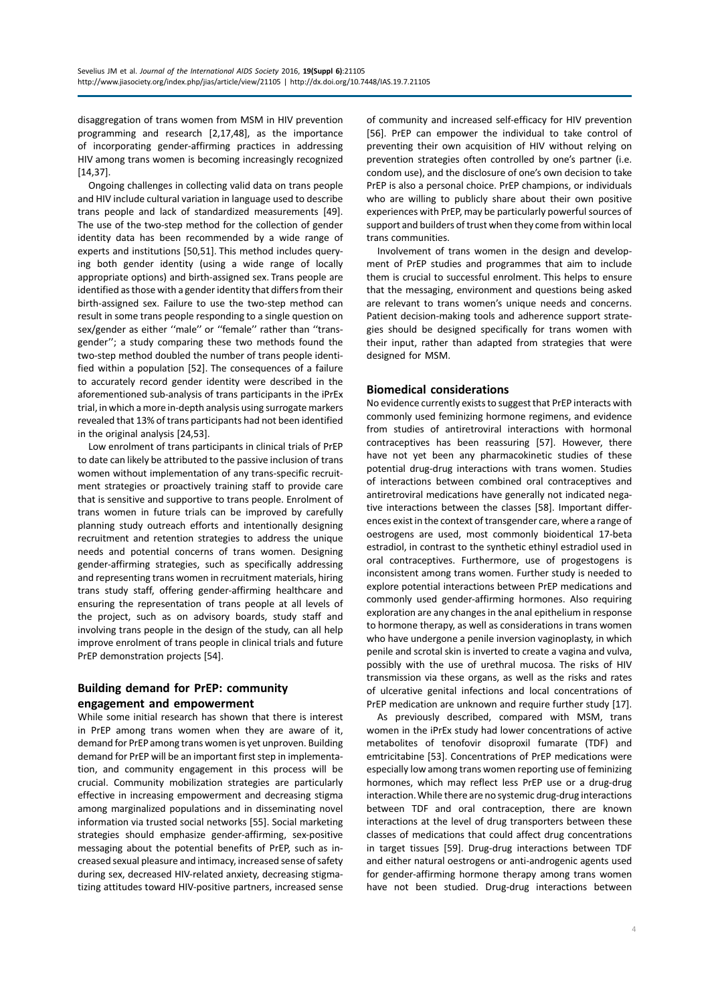disaggregation of trans women from MSM in HIV prevention programming and research [2,17,48], as the importance [of](http://www.jiasociety.org/index.php/jias/article/view/21105) [incorporating](http://www.jiasociety.org/index.php/jias/article/view/21105) [gender-affirming](http://www.jiasociety.org/index.php/jias/article/view/21105) [practices](http://www.jiasociety.org/index.php/jias/article/view/21105) in addressing HIV among trans women is becoming increasingly recognized [14,37].

Ongoing challenges in collecting valid data on trans people and HIV include cultural variation in language used to describe trans people and lack of standardized measurements [49]. The use of the two-step method for the collection of gender identity data has been recommended by a wide range of experts and institutions [50,51]. This method includes querying both gender identity (using a wide range of locally appropriate options) and birth-assigned sex. Trans people are identified as those with a gender identity that differs from their birth-assigned sex. Failure to use the two-step method can result in some trans people responding to a single question on sex/gender as either ''male'' or ''female'' rather than ''transgender''; a study comparing these two methods found the two-step method doubled the number of trans people identified within a population [52]. The consequences of a failure to accurately record gender identity were described in the aforementioned sub-analysis of trans participants in the iPrEx trial, in which a more in-depth analysis using surrogate markers revealed that 13% of trans participants had not been identified in the original analysis [24,53].

Low enrolment of trans participants in clinical trials of PrEP to date can likely be attributed to the passive inclusion of trans women without implementation of any trans-specific recruitment strategies or proactively training staff to provide care that is sensitive and supportive to trans people. Enrolment of trans women in future trials can be improved by carefully planning study outreach efforts and intentionally designing recruitment and retention strategies to address the unique needs and potential concerns of trans women. Designing gender-affirming strategies, such as specifically addressing and representing trans women in recruitment materials, hiring trans study staff, offering gender-affirming healthcare and ensuring the representation of trans people at all levels of the project, such as on advisory boards, study staff and involving trans people in the design of the study, can all help improve enrolment of trans people in clinical trials and future PrEP demonstration projects [54].

# Building demand for PrEP: community engagement and empowerment

While some initial research has shown that there is interest in PrEP among trans women when they are aware of it, demand for PrEP among trans women is yet unproven. Building demand for PrEP will be an important first step in implementation, and community engagement in this process will be crucial. Community mobilization strategies are particularly effective in increasing empowerment and decreasing stigma among marginalized populations and in disseminating novel information via trusted social networks [55]. Social marketing strategies should emphasize gender-affirming, sex-positive messaging about the potential benefits of PrEP, such as increased sexual pleasure and intimacy, increased sense of safety during sex, decreased HIV-related anxiety, decreasing stigmatizing attitudes toward HIV-positive partners, increased sense

of community and increased self-efficacy for HIV prevention [56]. PrEP can empower the individual to take control of [preventing](http://dx.doi.org/10.7448/IAS.19.7.21105) [the](http://dx.doi.org/10.7448/IAS.19.7.21105)ir own acquisition of HIV without relying on prevention strategies often controlled by one's partner (i.e. condom use), and the disclosure of one's own decision to take PrEP is also a personal choice. PrEP champions, or individuals who are willing to publicly share about their own positive experiences with PrEP, may be particularly powerful sources of support and builders of trust when they come from within local trans communities.

Involvement of trans women in the design and development of PrEP studies and programmes that aim to include them is crucial to successful enrolment. This helps to ensure that the messaging, environment and questions being asked are relevant to trans women's unique needs and concerns. Patient decision-making tools and adherence support strategies should be designed specifically for trans women with their input, rather than adapted from strategies that were designed for MSM.

### Biomedical considerations

No evidence currently exists to suggest that PrEP interacts with commonly used feminizing hormone regimens, and evidence from studies of antiretroviral interactions with hormonal contraceptives has been reassuring [57]. However, there have not yet been any pharmacokinetic studies of these potential drug-drug interactions with trans women. Studies of interactions between combined oral contraceptives and antiretroviral medications have generally not indicated negative interactions between the classes [58]. Important differences exist in the context of transgender care, where a range of oestrogens are used, most commonly bioidentical 17-beta estradiol, in contrast to the synthetic ethinyl estradiol used in oral contraceptives. Furthermore, use of progestogens is inconsistent among trans women. Further study is needed to explore potential interactions between PrEP medications and commonly used gender-affirming hormones. Also requiring exploration are any changes in the anal epithelium in response to hormone therapy, as well as considerations in trans women who have undergone a penile inversion vaginoplasty, in which penile and scrotal skin is inverted to create a vagina and vulva, possibly with the use of urethral mucosa. The risks of HIV transmission via these organs, as well as the risks and rates of ulcerative genital infections and local concentrations of PrEP medication are unknown and require further study [17].

As previously described, compared with MSM, trans women in the iPrEx study had lower concentrations of active metabolites of tenofovir disoproxil fumarate (TDF) and emtricitabine [53]. Concentrations of PrEP medications were especially low among trans women reporting use of feminizing hormones, which may reflect less PrEP use or a drug-drug interaction.While there are no systemic drug-drug interactions between TDF and oral contraception, there are known interactions at the level of drug transporters between these classes of medications that could affect drug concentrations in target tissues [59]. Drug-drug interactions between TDF and either natural oestrogens or anti-androgenic agents used for gender-affirming hormone therapy among trans women have not been studied. Drug-drug interactions between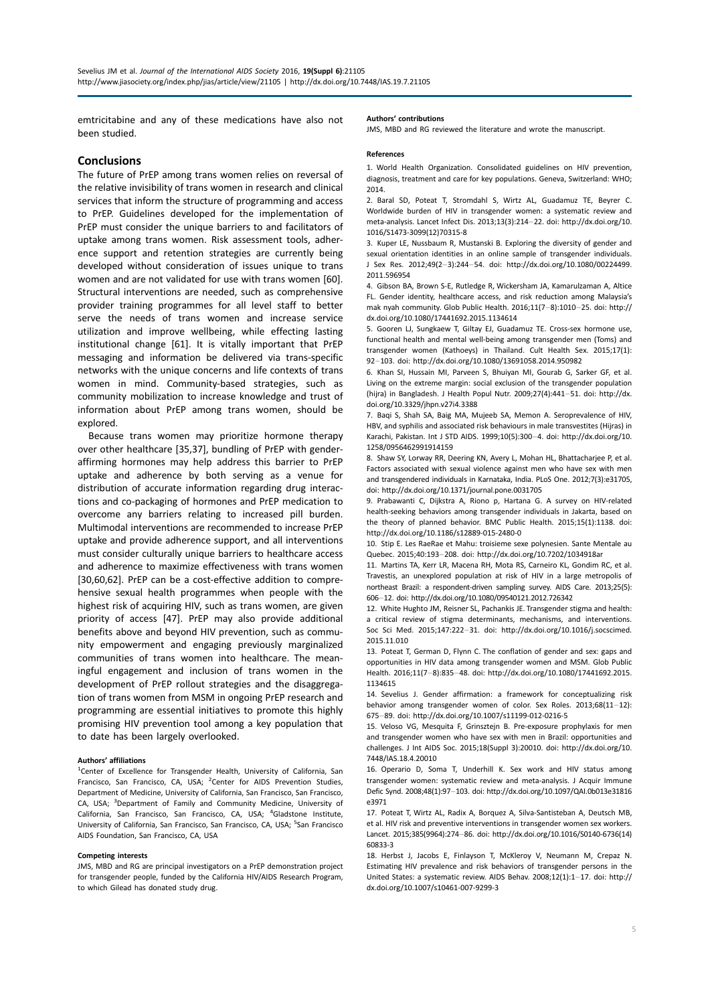emtricitabine and any of these medications have also not [been studied.](http://www.jiasociety.org/index.php/jias/article/view/21105)

### **Conclusions**

The future of PrEP among trans women relies on reversal of the relative invisibility of trans women in research and clinical services that inform the structure of programming and access to PrEP. Guidelines developed for the implementation of PrEP must consider the unique barriers to and facilitators of uptake among trans women. Risk assessment tools, adherence support and retention strategies are currently being developed without consideration of issues unique to trans women and are not validated for use with trans women [60]. Structural interventions are needed, such as comprehensive provider training programmes for all level staff to better serve the needs of trans women and increase service utilization and improve wellbeing, while effecting lasting institutional change [61]. It is vitally important that PrEP messaging and information be delivered via trans-specific networks with the unique concerns and life contexts of trans women in mind. Community-based strategies, such as community mobilization to increase knowledge and trust of information about PrEP among trans women, should be explored.

Because trans women may prioritize hormone therapy over other healthcare [35,37], bundling of PrEP with genderaffirming hormones may help address this barrier to PrEP uptake and adherence by both serving as a venue for distribution of accurate information regarding drug interactions and co-packaging of hormones and PrEP medication to overcome any barriers relating to increased pill burden. Multimodal interventions are recommended to increase PrEP uptake and provide adherence support, and all interventions must consider culturally unique barriers to healthcare access and adherence to maximize effectiveness with trans women [30,60,62]. PrEP can be a cost-effective addition to comprehensive sexual health programmes when people with the highest risk of acquiring HIV, such as trans women, are given priority of access [47]. PrEP may also provide additional benefits above and beyond HIV prevention, such as community empowerment and engaging previously marginalized communities of trans women into healthcare. The meaningful engagement and inclusion of trans women in the development of PrEP rollout strategies and the disaggregation of trans women from MSM in ongoing PrEP research and programming are essential initiatives to promote this highly promising HIV prevention tool among a key population that to date has been largely overlooked.

#### Authors' affiliations

<sup>1</sup>Center of Excellence for Transgender Health, University of California, San Francisco, San Francisco, CA, USA; <sup>2</sup>Center for AIDS Prevention Studies, Department of Medicine, University of California, San Francisco, San Francisco, CA, USA; <sup>3</sup>Department of Family and Community Medicine, University of California, San Francisco, San Francisco, CA, USA; <sup>4</sup>Gladstone Institute, University of California, San Francisco, San Francisco, CA, USA; <sup>5</sup>San Francisco AIDS Foundation, San Francisco, CA, USA

#### Competing interests

JMS, MBD and RG are principal investigators on a PrEP demonstration project for transgender people, funded by the California HIV/AIDS Research Program, to which Gilead has donated study drug.

#### Authors' contributions

JMS, MBD and RG reviewed the literature and wrote the manuscript.

#### References

1. World Health Organization. Consolidated guidelines on HIV prevention, diagnosis, treatment and care for key populations. Geneva, Switzerland: WHO; 2014.

2. Baral SD, Poteat T, Stromdahl S, Wirtz AL, Guadamuz TE, Beyrer C. Worldwide burden of HIV in transgender women: a systematic review and meta-analysis. Lancet Infect Dis. 2013;13(3):214-22. doi: http://dx.doi.org/10. 1016/S1473-3099(12)70315-8

3. Kuper LE, Nussbaum R, Mustanski B. Exploring the diversity of gender and sexual orientation identities in an online sample of transgender individuals. J Sex Res. 2012;49(2-3):244-54. doi: http://dx.doi.org/10.1080/00224499. 2011.596954

4. Gibson BA, Brown S-E, Rutledge R, Wickersham JA, Ka[marulzaman](http://dx.doi.org/10.1016/S1473-3099(12)70315-8) [A,](http://dx.doi.org/10.1016/S1473-3099(12)70315-8) [Altice](http://dx.doi.org/10.1016/S1473-3099(12)70315-8) [FL.](http://dx.doi.org/10.1016/S1473-3099(12)70315-8) [Gender](http://dx.doi.org/10.1016/S1473-3099(12)70315-8) [identity,](http://dx.doi.org/10.1016/S1473-3099(12)70315-8) [healthcar](http://dx.doi.org/10.1016/S1473-3099(12)70315-8)e access, and risk reduction among Malaysia's mak nyah community. Glob Public Health. 2016;11(7-8):1010-25. doi: http:// dx.doi.org/10.1080/17441692.2015.1134614

5. Gooren LJ, Sungkaew T, Giltay EJ, Gu[adamuz](http://dx.doi.org/10.1080/00224499.2011.596954) [TE.](http://dx.doi.org/10.1080/00224499.2011.596954) [Cross-sex](http://dx.doi.org/10.1080/00224499.2011.596954) [hormone](http://dx.doi.org/10.1080/00224499.2011.596954) [use,](http://dx.doi.org/10.1080/00224499.2011.596954) [functional](http://dx.doi.org/10.1080/00224499.2011.596954) [he](http://dx.doi.org/10.1080/00224499.2011.596954)alth and mental well-being among transgender men (Toms) and transgender women (Kathoeys) in Thailand. Cult Health Sex. 2015;17(1): 92-103. doi: http://dx.doi.org/10.1080/13691058.2014.950982

6. Khan SI, Hussain MI, Parveen S, Bhuiyan MI, Gourab G, Sarker G[F,](http://dx.doi.org/10.1080/17441692.2015.1134614) [et](http://dx.doi.org/10.1080/17441692.2015.1134614) [al.](http://dx.doi.org/10.1080/17441692.2015.1134614) [Living](http://dx.doi.org/10.1080/17441692.2015.1134614) [on](http://dx.doi.org/10.1080/17441692.2015.1134614) [the](http://dx.doi.org/10.1080/17441692.2015.1134614) [extreme](http://dx.doi.org/10.1080/17441692.2015.1134614) [margin:](http://dx.doi.org/10.1080/17441692.2015.1134614) [social](http://dx.doi.org/10.1080/17441692.2015.1134614) [exclusio](http://dx.doi.org/10.1080/17441692.2015.1134614)n of the transgender population (hijra) in Bangladesh. J Health Popul Nutr. 2009;27(4):441-51. doi: http://dx. doi.org/10.3329/jhpn.v27i4.3388

7. Baqi S, Shah SA, Baig MA, Mujeeb SA, Memon A. Seroprevalence of HIV, HBV, and syp[hilis](http://dx.doi.org/10.1080/13691058.2014.950982) [and](http://dx.doi.org/10.1080/13691058.2014.950982) [associated](http://dx.doi.org/10.1080/13691058.2014.950982) [risk](http://dx.doi.org/10.1080/13691058.2014.950982) [behaviours](http://dx.doi.org/10.1080/13691058.2014.950982) [in](http://dx.doi.org/10.1080/13691058.2014.950982) [male](http://dx.doi.org/10.1080/13691058.2014.950982) [transves](http://dx.doi.org/10.1080/13691058.2014.950982)tites (Hijras) in Karachi, Pakistan. Int J STD AIDS. 1999;10(5):300-4. doi: http://dx.doi.org/10. 1258/0956462991914159

8. Shaw SY, Lorway RR, Deering KN, Avery L, Mohan HL, Bhattacharj[ee](http://dx.doi.org/10.3329/jhpn.v27i4.3388) [P,](http://dx.doi.org/10.3329/jhpn.v27i4.3388) [et](http://dx.doi.org/10.3329/jhpn.v27i4.3388) [al.](http://dx.doi.org/10.3329/jhpn.v27i4.3388) [Factors](http://dx.doi.org/10.3329/jhpn.v27i4.3388) [associated](http://dx.doi.org/10.3329/jhpn.v27i4.3388) [with](http://dx.doi.org/10.3329/jhpn.v27i4.3388) [sexual](http://dx.doi.org/10.3329/jhpn.v27i4.3388) [vi](http://dx.doi.org/10.3329/jhpn.v27i4.3388)olence against men who have sex with men and transgendered individuals in Karnataka, India. PLoS One. 2012;7(3):e31705, doi: http://dx.doi.org/10.1371/journal.pone.0031705

9. Prabawanti C, Dijkstra A, Riono p, Hartana G. A s[urvey](http://dx.doi.org/10.1258/0956462991914159) [on](http://dx.doi.org/10.1258/0956462991914159) [HIV-related](http://dx.doi.org/10.1258/0956462991914159) [health-seeking](http://dx.doi.org/10.1258/0956462991914159) [behaviors](http://dx.doi.org/10.1258/0956462991914159) among transgender individuals in Jakarta, based on the theory of planned behavior. BMC Public Health. 2015;15(1):1138. doi: http://dx.doi.org/10.1186/s12889-015-2480-0

10. [Stip E. Les RaeRae et Mahu: troisieme sexe poly](http://dx.doi.org/10.1371/journal.pone.0031705)nesien. Sante Mentale au Quebec. 2015;40:193-208. doi: http://dx.doi.org/10.7202/1034918ar

11. Martins TA, Kerr LR, Macena RH, Mota RS, Carneiro KL, Gondim RC, et al. Travestis, an unexplored population at risk of HIV in a large metropolis of northeast Brazil: a respondent-driven sampling survey. AIDS Care. 2013;25(5): 606-[12.](http://dx.doi.org/10.1186/s12889-015-2480-0) [doi:](http://dx.doi.org/10.1186/s12889-015-2480-0) [http://dx.doi.org/10.1080/0954012](http://dx.doi.org/10.1186/s12889-015-2480-0)1.2012.726342

12. White Hughto JM, Reisner SL, Pachankis JE. Transgender stigma and health: a critical review of stigma de[terminants,](http://dx.doi.org/10.7202/1034918ar) [mechanisms,](http://dx.doi.org/10.7202/1034918ar) [and](http://dx.doi.org/10.7202/1034918ar) [interv](http://dx.doi.org/10.7202/1034918ar)entions. Soc Sci Med. 2015;147:222-31. doi: http://dx.doi.org/10.1016/j.socscimed. 2015.11.010

13. Poteat T, German D, Flynn C. The conflation of gender and sex: gaps and opportunitie[s](http://dx.doi.org/10.1080/09540121.2012.726342) [in](http://dx.doi.org/10.1080/09540121.2012.726342) [HIV](http://dx.doi.org/10.1080/09540121.2012.726342) [data](http://dx.doi.org/10.1080/09540121.2012.726342) [among](http://dx.doi.org/10.1080/09540121.2012.726342) [transgender](http://dx.doi.org/10.1080/09540121.2012.726342) [women](http://dx.doi.org/10.1080/09540121.2012.726342) [and](http://dx.doi.org/10.1080/09540121.2012.726342) [M](http://dx.doi.org/10.1080/09540121.2012.726342)SM. Glob Public Health. 2016;11(7-8):835-48. doi: http://dx.doi.org/10.1080/17441692.2015. 1134615

14. Sevelius J. Gender affirmation: a [framework](http://dx.doi.org/10.1016/j.socscimed.2015.11.010) [for](http://dx.doi.org/10.1016/j.socscimed.2015.11.010) [conceptualizing](http://dx.doi.org/10.1016/j.socscimed.2015.11.010) [risk](http://dx.doi.org/10.1016/j.socscimed.2015.11.010) [behavior](http://dx.doi.org/10.1016/j.socscimed.2015.11.010) [am](http://dx.doi.org/10.1016/j.socscimed.2015.11.010)ong transgender women of color. Sex Roles. 2013;68(11-12): 675-89. doi: http://dx.doi.org/10.1007/s11199-012-0216-5

15. Veloso VG, Mesquita F, Grinsztejn B. Pre-exposure prophylaxis for men and transgender women who have [sex](http://dx.doi.org/10.1080/17441692.2015.1134615) [with](http://dx.doi.org/10.1080/17441692.2015.1134615) [men](http://dx.doi.org/10.1080/17441692.2015.1134615) [in](http://dx.doi.org/10.1080/17441692.2015.1134615) [Brazil:](http://dx.doi.org/10.1080/17441692.2015.1134615) [opportunities](http://dx.doi.org/10.1080/17441692.2015.1134615) [and](http://dx.doi.org/10.1080/17441692.2015.1134615) [challenge](http://dx.doi.org/10.1080/17441692.2015.1134615)s. J Int AIDS Soc. 2015;18(Suppl 3):20010. doi: http://dx.doi.org/10. 7448/IAS.18.4.20010

16. Operario D, Soma T, Underhill K. Sex work and HIV status among transgender [women:](http://dx.doi.org/10.1007/s11199-012-0216-5) [systematic](http://dx.doi.org/10.1007/s11199-012-0216-5) [review](http://dx.doi.org/10.1007/s11199-012-0216-5) [and](http://dx.doi.org/10.1007/s11199-012-0216-5) [meta-analysis](http://dx.doi.org/10.1007/s11199-012-0216-5). J Acquir Immune Defic Synd. 2008;48(1):97-103. doi: http://dx.doi.org/10.1097/QAI.0b013e31816 e3971

17. Poteat T, Wirtz AL, Radix A, Borquez A, Silva-Santist[eban](http://dx.doi.org/10.7448/IAS.18.4.20010) [A,](http://dx.doi.org/10.7448/IAS.18.4.20010) [Deutsch](http://dx.doi.org/10.7448/IAS.18.4.20010) [MB,](http://dx.doi.org/10.7448/IAS.18.4.20010) [et](http://dx.doi.org/10.7448/IAS.18.4.20010) [al.](http://dx.doi.org/10.7448/IAS.18.4.20010) [HIV](http://dx.doi.org/10.7448/IAS.18.4.20010) [risk](http://dx.doi.org/10.7448/IAS.18.4.20010) [and](http://dx.doi.org/10.7448/IAS.18.4.20010) [pre](http://dx.doi.org/10.7448/IAS.18.4.20010)ventive interventions in transgender women sex workers. Lancet. 2015;385(9964):274-86. doi: http://dx.doi.org/10.1016/S0140-6736(14) 60833-3

18. Herbst J, Jacobs E, Finlayson [T,](http://dx.doi.org/10.1097/QAI.0b013e31816e3971) [McKleroy](http://dx.doi.org/10.1097/QAI.0b013e31816e3971) [V,](http://dx.doi.org/10.1097/QAI.0b013e31816e3971) [Neumann](http://dx.doi.org/10.1097/QAI.0b013e31816e3971) [M,](http://dx.doi.org/10.1097/QAI.0b013e31816e3971) [Crepaz](http://dx.doi.org/10.1097/QAI.0b013e31816e3971) [N.](http://dx.doi.org/10.1097/QAI.0b013e31816e3971) [Estima](http://dx.doi.org/10.1097/QAI.0b013e31816e3971)ting HIV prevalence and risk behaviors of transgender persons in the United States: a systematic review. AIDS Behav. 2008;12(1):1-17. doi: http:// dx.doi.org/10.1007/s10461-007-9299[-3](http://dx.doi.org/10.1016/S0140-6736(14)60833-3)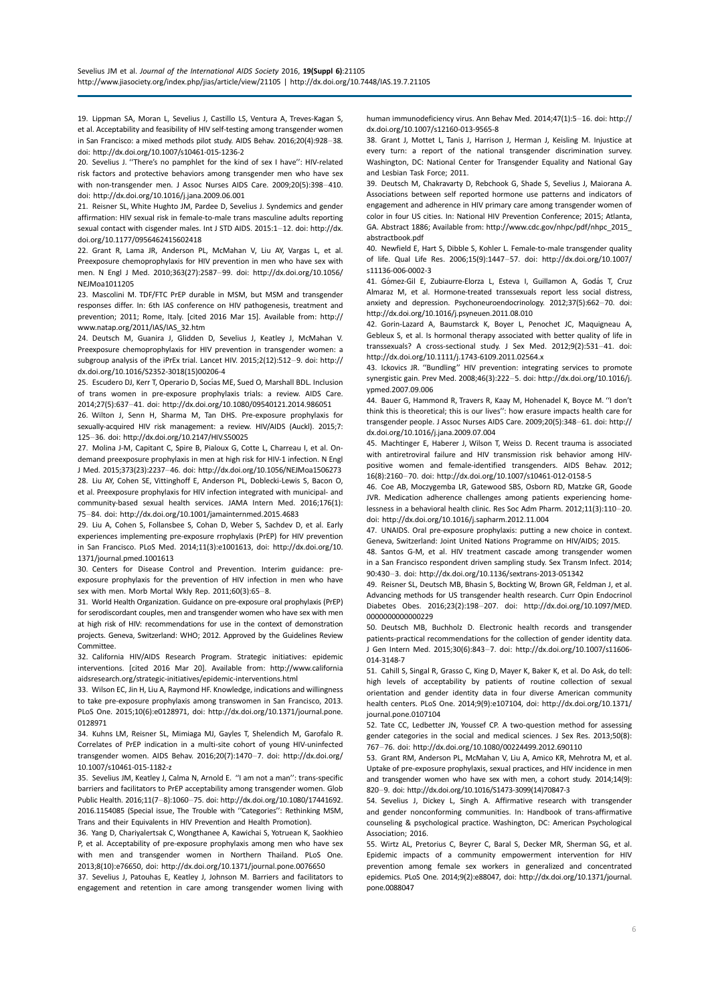19. Lippman SA, Moran L, Sevelius J, Castillo LS, Ventura A, Treves-Kagan S, et al. Acceptability and feasibility of HIV self-testing among transgender women [in San Francisco: a mixed methods pilot study. AIDS Behav. 2](http://www.jiasociety.org/index.php/jias/article/view/21105)016;20(4):928-38. doi: http://dx.doi.org/10.1007/s10461-015-1236-2

20. Sevelius J. ''There's no pamphlet for the kind of sex I have'': HIV-related risk factors and protective behaviors among transgender men who have sex with non-transgender men. J Assoc Nurses AIDS Care. 2009;20(5):398-410. doi: http://dx.doi.org/10.1016/j.jana.2009.06.001

21. Reisner SL, White Hughto JM, Pardee D, Sevelius J. Syndemics and gender affir[mation:](http://dx.doi.org/10.1007/s10461-015-1236-2) [HIV](http://dx.doi.org/10.1007/s10461-015-1236-2) [sexual](http://dx.doi.org/10.1007/s10461-015-1236-2) [risk](http://dx.doi.org/10.1007/s10461-015-1236-2) [in](http://dx.doi.org/10.1007/s10461-015-1236-2) [female-to-male](http://dx.doi.org/10.1007/s10461-015-1236-2) [tran](http://dx.doi.org/10.1007/s10461-015-1236-2)s masculine adults reporting sexual contact with cisgender males. Int J STD AIDS. 2015:1-12. doi: http://dx. doi.org/10.1177/0956462415602418

22. [Grant R, Lama JR, Anderson PL, McMahan](http://dx.doi.org/10.1016/j.jana.2009.06.001) V, Liu AY, Vargas L, et al. Preexposure chemoprophylaxis for HIV prevention in men who have sex with men. N Engl J Med. 2010;363(27):2587-99. doi: http://dx.doi.org/10.1056/ NEJMoa1011205

[23. Mascolini M. TDF/FTC PrEP dura](http://dx.doi.org/10.1177/0956462415602418)ble in MSM, but MSM and tr[ansgender](http://dx.doi.org/10.1177/0956462415602418) responses differ. In: 6th IAS conference on HIV pathogenesis, treatment and prevention; 2011; Rome, Italy. [cited 2016 Mar 15]. Available from: http:// www.natap.org/2011/IAS/IAS\_32.htm

[24. Deutsch M,](http://dx.doi.org/10.1056/NEJMoa1011205) Guanira J, Glidden D, Sevelius [J,](http://dx.doi.org/10.1056/NEJMoa1011205) [Keatley](http://dx.doi.org/10.1056/NEJMoa1011205) [J,](http://dx.doi.org/10.1056/NEJMoa1011205) [McMahan](http://dx.doi.org/10.1056/NEJMoa1011205) [V.](http://dx.doi.org/10.1056/NEJMoa1011205) Preexposure chemoprophylaxis for HIV prevention in transgender women: a subgroup analysis of the iPrEx trial. Lancet HIV. 2015;2(12):512-9. doi: http:// dx.doi.org/10.1016/S2352-3018(15)00206-4

[25. Escudero DJ, Kerr T, Operario D, So](http://www.natap.org/2011/IAS/IAS_32.htm)cías ME, Sued O, Marshall BDL. In[clusion](http://www.natap.org/2011/IAS/IAS_32.htm) of trans women in pre-exposure prophylaxis trials: a review. AIDS Care. 2014;27(5):637-41. doi: http://dx.doi.org/10.1080/09540121.2014.986051

26. Wilton J, Senn H, Sharma M, Tan DHS. Pre-exposure prophylaxis for [sexually-acquired HIV risk management: a](http://dx.doi.org/10.1016/S2352-3018(15)00206-4) review. HIV/AIDS (Auckl). [2015;7:](http://dx.doi.org/10.1016/S2352-3018(15)00206-4) 125-36. doi: http://dx.doi.org/10.2147/HIV.S50025

27. Molina J-M, Capitant C, Spire B, Pialoux G, Cotte L, Charreau I, et al. Ondemand preexposure pr[ophylaxis in men at high risk for HIV-1 infection. N E](http://dx.doi.org/10.1080/09540121.2014.986051)ngl J Med. 2015;373(23):2237-46. doi: http://dx.doi.org/10.1056/NEJMoa1506273 28. Liu AY, Cohen SE, Vittinghoff E, Anderson PL, Doblecki-Lewis S, Bacon O, et al. Preexp[osure prophylaxis for HIV infection inte](http://dx.doi.org/10.2147/HIV.S50025)grated with municipal- and community-based sexual health services. JAMA Intern Med. 2016;176(1): 75-84. doi: http://dx.doi.org/10.1001/jamainternmed.2015.4683

29. Liu A, Cohen S, Follansbee S, Cohan D, Weber S, Sachdev D, et al. Early experiences implementing pre-exp[osure](http://dx.doi.org/10.1056/NEJMoa1506273) [rrophylaxis](http://dx.doi.org/10.1056/NEJMoa1506273) [\(PrEP\)](http://dx.doi.org/10.1056/NEJMoa1506273) [for](http://dx.doi.org/10.1056/NEJMoa1506273) [HIV](http://dx.doi.org/10.1056/NEJMoa1506273) [prevention](http://dx.doi.org/10.1056/NEJMoa1506273) in San Francisco. PLoS Med. 2014;11(3):e1001613, doi: http://dx.doi.org/10. 1371/journal.pmed.1001613

30. Centers [for Disease Control and Prevention. Interim gu](http://dx.doi.org/10.1001/jamainternmed.2015.4683)idance: preexposure prophylaxis for the prevention of HIV infection in men who have sex with men. Morb Mortal Wkly Rep. 2011;60(3):65-8.

31. World Health Organization. Guidance on pre-exposure [oral prophylaxis \(PrEP\)](http://dx.doi.org/10.1371/journal.pmed.1001613) [for serodiscordant couples, me](http://dx.doi.org/10.1371/journal.pmed.1001613)n and transgender women who have sex with men at high risk of HIV: recommendations for use in the context of demonstration projects. Geneva, Switzerland: WHO; 2012. Approved by the Guidelines Review Committee.

32. California HIV/AIDS Research Program. Strategic initiatives: epidemic interventions. [cited 2016 Mar 20]. Available from: http://www.california aidsresearch.org/strategic-initiatives/epidemic-interventions.html

33. Wilson EC, Jin H, Liu A, Raymond HF. Knowledge, indications and willingness to take pre-exposure prophylaxis among transwomen in San Francisco, 2013. PLoS One. 2015;10(6):e0128971, doi: http://dx.doi.org/10.1371/journal.pone. 0128971

34. Kuhns LM, Reisner SL, Mimiaga MJ, Gayles T, Shel[endich](http://www.californiaaidsresearch.org/strategic-initiatives/epidemic-interventions.html) [M,](http://www.californiaaidsresearch.org/strategic-initiatives/epidemic-interventions.html) [Garofalo](http://www.californiaaidsresearch.org/strategic-initiatives/epidemic-interventions.html) [R.](http://www.californiaaidsresearch.org/strategic-initiatives/epidemic-interventions.html) [Correlates](http://www.californiaaidsresearch.org/strategic-initiatives/epidemic-interventions.html) [of](http://www.californiaaidsresearch.org/strategic-initiatives/epidemic-interventions.html) [PrEP](http://www.californiaaidsresearch.org/strategic-initiatives/epidemic-interventions.html) [indication](http://www.californiaaidsresearch.org/strategic-initiatives/epidemic-interventions.html) [in](http://www.californiaaidsresearch.org/strategic-initiatives/epidemic-interventions.html) [a](http://www.californiaaidsresearch.org/strategic-initiatives/epidemic-interventions.html) [multi-site](http://www.californiaaidsresearch.org/strategic-initiatives/epidemic-interventions.html) [cohort](http://www.californiaaidsresearch.org/strategic-initiatives/epidemic-interventions.html) [of](http://www.californiaaidsresearch.org/strategic-initiatives/epidemic-interventions.html) [young](http://www.californiaaidsresearch.org/strategic-initiatives/epidemic-interventions.html) [H](http://www.californiaaidsresearch.org/strategic-initiatives/epidemic-interventions.html)IV-uninfected transgender women. AIDS Behav. 2016;20(7):1470-7. doi: http://dx.doi.org/ 10.1007/s10461-015-1182-z

[35. Seve](http://dx.doi.org/10.1371/journal.pone.0128971)lius JM, Keatley J, Calma N, Ar[nold](http://dx.doi.org/10.1371/journal.pone.0128971) [E.](http://dx.doi.org/10.1371/journal.pone.0128971) [''I](http://dx.doi.org/10.1371/journal.pone.0128971) [am](http://dx.doi.org/10.1371/journal.pone.0128971) [not](http://dx.doi.org/10.1371/journal.pone.0128971) [a](http://dx.doi.org/10.1371/journal.pone.0128971) [man'':](http://dx.doi.org/10.1371/journal.pone.0128971) [trans-specific](http://dx.doi.org/10.1371/journal.pone.0128971) barriers and facilitators to PrEP acceptability among transgender women. Glob Public Health. 2016;11(7-8):1060-75. doi: http://dx.doi.org/10.1080/17441692. 2016.1154085 (Special issue, The Trouble with ''Categories'': [Rethinking MSM,](http://dx.doi.org/10.1007/s10461-015-1182-z) [Trans and their Equivalents i](http://dx.doi.org/10.1007/s10461-015-1182-z)n HIV Prevention and Health Promotion).

36. Yang D, Chariyalertsak C, Wongthanee A, Kawichai S, Yotruean K, Saokhieo P, et al. Acceptability of pre-exposure prophylaxis among men who have sex with men and transgender women i[n Northern Thailand. PLoS One.](http://dx.doi.org/10.1080/17441692.2016.1154085) [2013;8\(10\):e7](http://dx.doi.org/10.1080/17441692.2016.1154085)6650, doi: http://dx.doi.org/10.1371/journal.pone.0076650

37. Sevelius J, Patouhas E, Keatley J, Johnson M. Barriers and facilitators to engagement and retention in care among transgender women living with

human immunodeficiency virus. Ann Behav Med. 2014;47(1):5-16. doi: http:// dx.doi.org/10.1007/s12160-013-9565-8

[38. Grant J, Motte](http://dx.doi.org/10.7448/IAS.19.7.21105)t L, Tanis J, Harrison J, Herman J, Keisling M. Injustice at every turn: a report of the national transgender discrimination survey. Washington, DC: National Center for Transgender Equality and National Gay and Lesbian Task Force; 2011.

39. Deutsch M, Chakravarty D, Rebchook G, Shade S, Sevelius J, Maio[rana](http://dx.doi.org/10.1007/s12160-013-9565-8) [A.](http://dx.doi.org/10.1007/s12160-013-9565-8) [Associations](http://dx.doi.org/10.1007/s12160-013-9565-8) [between](http://dx.doi.org/10.1007/s12160-013-9565-8) [self](http://dx.doi.org/10.1007/s12160-013-9565-8) [reported](http://dx.doi.org/10.1007/s12160-013-9565-8) [ho](http://dx.doi.org/10.1007/s12160-013-9565-8)rmone use patterns and indicators of engagement and adherence in HIV primary care among transgender women of color in four US cities. In: National HIV Prevention Conference; 2015; Atlanta, GA. Abstract 1886; Available from: http://www.cdc.gov/nhpc/pdf/nhpc\_2015\_ abstractbook.pdf

40. Newfield E, Hart S, Dibble S, Kohler L. Female-to-male transgender quality of life. Qual Life Res. 2006;15(9):1447-57. doi: http://dx.doi.org/10.1007/ s11136-006-0002-3

41. Gómez-Gil E, Zubiaurre-Elorza L, Esteva I, Guillamon A, Godás T, Cruz Almaraz M, et al. Hormone-treat[ed](http://www.cdc.gov/nhpc/pdf/nhpc_2015_abstractbook.pdf) [transsexuals](http://www.cdc.gov/nhpc/pdf/nhpc_2015_abstractbook.pdf) [report](http://www.cdc.gov/nhpc/pdf/nhpc_2015_abstractbook.pdf) [less](http://www.cdc.gov/nhpc/pdf/nhpc_2015_abstractbook.pdf) [social](http://www.cdc.gov/nhpc/pdf/nhpc_2015_abstractbook.pdf) [distress,](http://www.cdc.gov/nhpc/pdf/nhpc_2015_abstractbook.pdf) [anxiety](http://www.cdc.gov/nhpc/pdf/nhpc_2015_abstractbook.pdf) [and](http://www.cdc.gov/nhpc/pdf/nhpc_2015_abstractbook.pdf) [dep](http://www.cdc.gov/nhpc/pdf/nhpc_2015_abstractbook.pdf)ression. Psychoneuroendocrinology. 2012;37(5):662-70. doi: http://dx.doi.org/10.1016/j.psyneuen.2011.08.010

42. Gorin-Lazard A, Baumstarck K, Boyer L, Pen[ochet](http://dx.doi.org/10.1007/s11136-006-0002-3) [JC,](http://dx.doi.org/10.1007/s11136-006-0002-3) [Maquigneau](http://dx.doi.org/10.1007/s11136-006-0002-3) [A,](http://dx.doi.org/10.1007/s11136-006-0002-3) [Gebleux](http://dx.doi.org/10.1007/s11136-006-0002-3) [S,](http://dx.doi.org/10.1007/s11136-006-0002-3) [et](http://dx.doi.org/10.1007/s11136-006-0002-3) [al.](http://dx.doi.org/10.1007/s11136-006-0002-3) [Is](http://dx.doi.org/10.1007/s11136-006-0002-3) hormonal therapy associated with better quality of life in transsexuals? A cross-sectional study. J Sex Med. 2012;9(2):531-41. doi: http://dx.doi.org/10.1111/j.1743-6109.2011.02564.x

43. Ickovics JR. ''Bundling'' HIV prevention: integrating services to promote [synergistic](http://dx.doi.org/10.1016/j.psyneuen.2011.08.010) [gain.](http://dx.doi.org/10.1016/j.psyneuen.2011.08.010) [Prev](http://dx.doi.org/10.1016/j.psyneuen.2011.08.010) [Med.](http://dx.doi.org/10.1016/j.psyneuen.2011.08.010) [2008;46\(3\):222](http://dx.doi.org/10.1016/j.psyneuen.2011.08.010)-5. doi: http://dx.doi.org/10.1016/j. ypmed.2007.09.006

44. Bauer G, Hammond R, Travers R, Kaay M, Hohenadel K, Boyce M. ''I don't think this is theoretical; this is our lives'': how erasure impacts health care for [transgender](http://dx.doi.org/10.1111/j.1743-6109.2011.02564.x) [people.](http://dx.doi.org/10.1111/j.1743-6109.2011.02564.x) [J](http://dx.doi.org/10.1111/j.1743-6109.2011.02564.x) [Assoc](http://dx.doi.org/10.1111/j.1743-6109.2011.02564.x) [Nurses](http://dx.doi.org/10.1111/j.1743-6109.2011.02564.x) [AIDS](http://dx.doi.org/10.1111/j.1743-6109.2011.02564.x) [Care.](http://dx.doi.org/10.1111/j.1743-6109.2011.02564.x) [2009;](http://dx.doi.org/10.1111/j.1743-6109.2011.02564.x)20(5):348-61. doi: http:// dx.doi.org/10.1016/j.jana.2009.07.004

45. Machtinger E, Haberer J, Wilson T, Weiss D. [Recent](http://dx.doi.org/10.1016/j.ypmed.2007.09.006) [trauma](http://dx.doi.org/10.1016/j.ypmed.2007.09.006) [is](http://dx.doi.org/10.1016/j.ypmed.2007.09.006) [associated](http://dx.doi.org/10.1016/j.ypmed.2007.09.006) [with](http://dx.doi.org/10.1016/j.ypmed.2007.09.006) [antiretroviral](http://dx.doi.org/10.1016/j.ypmed.2007.09.006) failure and HIV transmission risk behavior among HIVpositive women and female-identified transgenders. AIDS Behav. 2012; 16(8):2160-70. doi: http://dx.doi.org/10.1007/s10461-012-0158-5

46. Coe AB, Moczygemba LR, Gatewood SBS, Osborn RD, Matzke GR, [Goode](http://dx.doi.org/10.1016/j.jana.2009.07.004) [JVR.](http://dx.doi.org/10.1016/j.jana.2009.07.004) [Medication](http://dx.doi.org/10.1016/j.jana.2009.07.004) [adherence](http://dx.doi.org/10.1016/j.jana.2009.07.004) [challenge](http://dx.doi.org/10.1016/j.jana.2009.07.004)s among patients experiencing homelessness in a behavioral health clinic. Res Soc Adm Pharm. 2012;11(3):110-20. doi: http://dx.doi.org/10.1016/j.sapharm.2012.11.004

47. UNAIDS. Oral pre-exposure prophylaxis: putting a new choice in context. Geneva, Switzerland[:](http://dx.doi.org/10.1007/s10461-012-0158-5) [Joint](http://dx.doi.org/10.1007/s10461-012-0158-5) [United](http://dx.doi.org/10.1007/s10461-012-0158-5) [Nations](http://dx.doi.org/10.1007/s10461-012-0158-5) [Programme](http://dx.doi.org/10.1007/s10461-012-0158-5) [on](http://dx.doi.org/10.1007/s10461-012-0158-5) [HIV/AID](http://dx.doi.org/10.1007/s10461-012-0158-5)S; 2015.

48. Santos G-M, et al. HIV treatment cascade among transgender women in a San Francisco respondent driven sampling study. Sex Transm Infect. 2014; 90:430-3. doi: http://dx.doi.org/10.1136/sextrans-2013-051342

49. [Reisner](http://dx.doi.org/10.1016/j.sapharm.2012.11.004) [SL,](http://dx.doi.org/10.1016/j.sapharm.2012.11.004) [Deutsch](http://dx.doi.org/10.1016/j.sapharm.2012.11.004) [MB,](http://dx.doi.org/10.1016/j.sapharm.2012.11.004) [Bhasin](http://dx.doi.org/10.1016/j.sapharm.2012.11.004) [S,](http://dx.doi.org/10.1016/j.sapharm.2012.11.004) [Bockting](http://dx.doi.org/10.1016/j.sapharm.2012.11.004) [W,](http://dx.doi.org/10.1016/j.sapharm.2012.11.004) [Bro](http://dx.doi.org/10.1016/j.sapharm.2012.11.004)wn GR, Feldman J, et al. Advancing methods for US transgender health research. Curr Opin Endocrinol Diabetes Obes. 2016;23(2):198-207. doi: http://dx.doi.org/10.1097/MED. 0000000000000229

50. Deutsch MB, Buchholz D. Electronic health records and transgender patients-practic[al](http://dx.doi.org/10.1136/sextrans-2013-051342) [recommendations](http://dx.doi.org/10.1136/sextrans-2013-051342) [for](http://dx.doi.org/10.1136/sextrans-2013-051342) [the](http://dx.doi.org/10.1136/sextrans-2013-051342) [collection](http://dx.doi.org/10.1136/sextrans-2013-051342) [of](http://dx.doi.org/10.1136/sextrans-2013-051342) [gender](http://dx.doi.org/10.1136/sextrans-2013-051342) identity data. J Gen Intern Med. 2015;30(6):843-7. doi: http://dx.doi.org/10.1007/s11606- 014-3148-7

[51. Cahill S, Singal R](http://dx.doi.org/10.1097/MED.0000000000000229), Grasso C, King D, Mayer [K,](http://dx.doi.org/10.1097/MED.0000000000000229) [Baker](http://dx.doi.org/10.1097/MED.0000000000000229) [K,](http://dx.doi.org/10.1097/MED.0000000000000229) [et](http://dx.doi.org/10.1097/MED.0000000000000229) [al.](http://dx.doi.org/10.1097/MED.0000000000000229) [Do](http://dx.doi.org/10.1097/MED.0000000000000229) [Ask,](http://dx.doi.org/10.1097/MED.0000000000000229) [do](http://dx.doi.org/10.1097/MED.0000000000000229) [tell:](http://dx.doi.org/10.1097/MED.0000000000000229) high levels of acceptability by patients of routine collection of sexual orientation and gender identity data in four diverse American community health centers. PLoS One. 2014;9(9):e1071[04, doi: http://dx.doi.org/10.1371/](http://dx.doi.org/10.1007/s11606-014-3148-7) journal.pone.0107104

[52.](http://dx.doi.org/10.1007/s11606-014-3148-7) [Tate](http://dx.doi.org/10.1007/s11606-014-3148-7) [CC](http://dx.doi.org/10.1007/s11606-014-3148-7), Ledbetter JN, Youssef CP. A two-question method for assessing gender categories in the social and medical sciences. J Sex Res. 2013;50(8): 767-76. doi: http://dx.doi.org/10.1080/00224499.2012.690110

53. Grant RM, Anderson PL, McMahan V, Liu A, Amico KR, Mehrotra M, et al. Uptake of pre-exposure prophylaxis, sexual practices[,](http://dx.doi.org/10.1371/journal.pone.0107104) [and](http://dx.doi.org/10.1371/journal.pone.0107104) [HIV](http://dx.doi.org/10.1371/journal.pone.0107104) [incidence](http://dx.doi.org/10.1371/journal.pone.0107104) [in](http://dx.doi.org/10.1371/journal.pone.0107104) [men](http://dx.doi.org/10.1371/journal.pone.0107104) [and](http://dx.doi.org/10.1371/journal.pone.0107104) [transgender](http://dx.doi.org/10.1371/journal.pone.0107104) [wome](http://dx.doi.org/10.1371/journal.pone.0107104)n who have sex with men, a cohort study. 2014;14(9): 820-9. doi: http://dx.doi.org/10.1016/S1473-3099(14)70847-3

54. Sevelius J, Dickey L, Singh A. Affirmative research with transgender and gender [nonconforming](http://dx.doi.org/10.1080/00224499.2012.690110) [communities.](http://dx.doi.org/10.1080/00224499.2012.690110) [In:](http://dx.doi.org/10.1080/00224499.2012.690110) [Handbook](http://dx.doi.org/10.1080/00224499.2012.690110) [of](http://dx.doi.org/10.1080/00224499.2012.690110) [tra](http://dx.doi.org/10.1080/00224499.2012.690110)ns-affirmative counseling & psychological practice. Washington, DC: American Psychological Association; 2016.

55. Wirtz AL, Pretorius C, Beyrer C, Baral S, Decker MR, Sherman SG, et al. Epidemic i[mpacts](http://dx.doi.org/10.1016/S1473-3099(14)70847-3) [of](http://dx.doi.org/10.1016/S1473-3099(14)70847-3) [a](http://dx.doi.org/10.1016/S1473-3099(14)70847-3) [community](http://dx.doi.org/10.1016/S1473-3099(14)70847-3) [empowerment](http://dx.doi.org/10.1016/S1473-3099(14)70847-3) [inte](http://dx.doi.org/10.1016/S1473-3099(14)70847-3)rvention for HIV prevention among female sex workers in generalized and concentrated epidemics. PLoS One. 2014;9(2):e88047, doi: http://dx.doi.org/10.1371/journal. pone.0088047